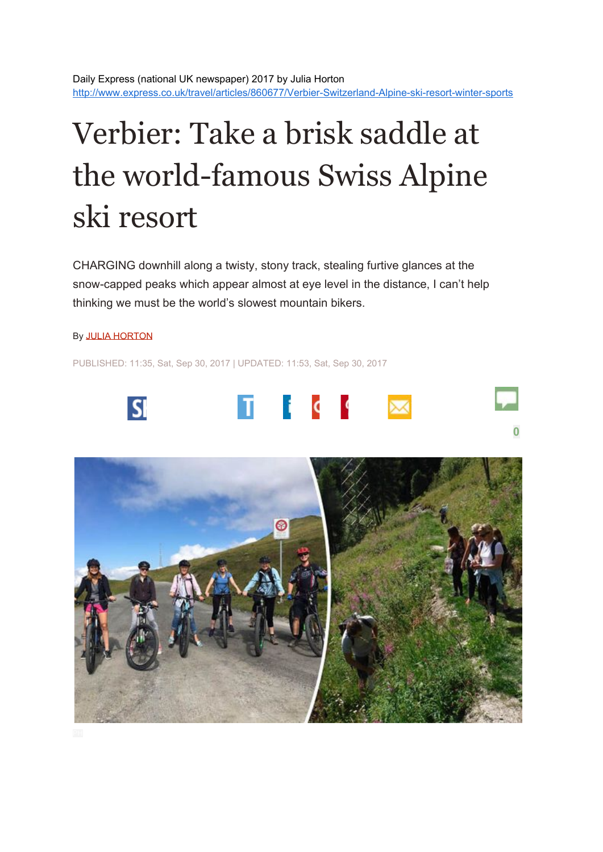## Verbier: Take a brisk saddle at the world-famous Swiss Alpine ski resort

CHARGING downhill along a twisty, stony track, stealing furtive glances at the snow-capped peaks which appear almost at eye level in the distance, I can't help thinking we must be the world's slowest mountain bikers.

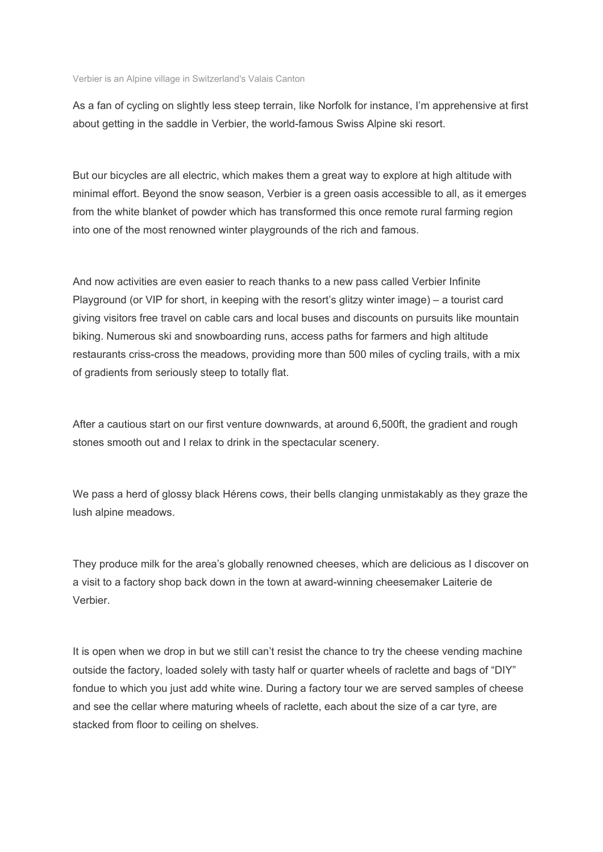Verbier is an Alpine village in Switzerland's Valais Canton

As a fan of cycling on slightly less steep terrain, like Norfolk for instance, I'm apprehensive at first about getting in the saddle in Verbier, the world-famous Swiss Alpine ski resort.

But our bicycles are all electric, which makes them a great way to explore at high altitude with minimal effort. Beyond the snow season, Verbier is a green oasis accessible to all, as it emerges from the white blanket of powder which has transformed this once remote rural farming region into one of the most renowned winter playgrounds of the rich and famous.

And now activities are even easier to reach thanks to a new pass called Verbier Infinite Playground (or VIP for short, in keeping with the resort's glitzy winter image) – a tourist card giving visitors free travel on cable cars and local buses and discounts on pursuits like mountain biking. Numerous ski and snowboarding runs, access paths for farmers and high altitude restaurants criss-cross the meadows, providing more than 500 miles of cycling trails, with a mix of gradients from seriously steep to totally flat.

After a cautious start on our first venture downwards, at around 6,500ft, the gradient and rough stones smooth out and I relax to drink in the spectacular scenery.

We pass a herd of glossy black Hérens cows, their bells clanging unmistakably as they graze the lush alpine meadows.

They produce milk for the area's globally renowned cheeses, which are delicious as I discover on a visit to a factory shop back down in the town at award-winning cheesemaker Laiterie de Verbier.

It is open when we drop in but we still can't resist the chance to try the cheese vending machine outside the factory, loaded solely with tasty half or quarter wheels of raclette and bags of "DIY" fondue to which you just add white wine. During a factory tour we are served samples of cheese and see the cellar where maturing wheels of raclette, each about the size of a car tyre, are stacked from floor to ceiling on shelves.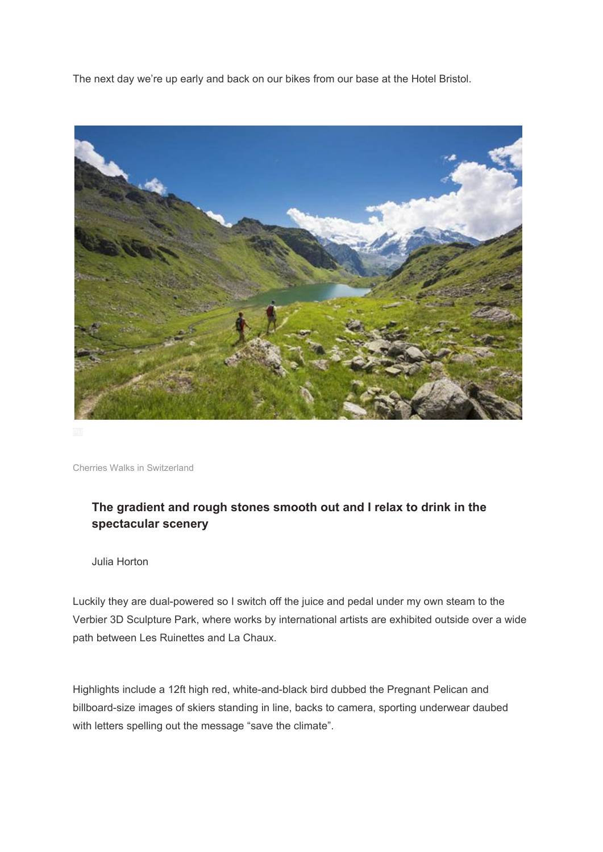The next day we're up early and back on our bikes from our base at the Hotel Bristol.



Cherries Walks in Switzerland

## **The gradient and rough stones smooth out and I relax to drink in the spectacular scenery**

Julia Horton

Luckily they are dual-powered so I switch off the juice and pedal under my own steam to the Verbier 3D Sculpture Park, where works by international artists are exhibited outside over a wide path between Les Ruinettes and La Chaux.

Highlights include a 12ft high red, white-and-black bird dubbed the Pregnant Pelican and billboard-size images of skiers standing in line, backs to camera, sporting underwear daubed with letters spelling out the message "save the climate".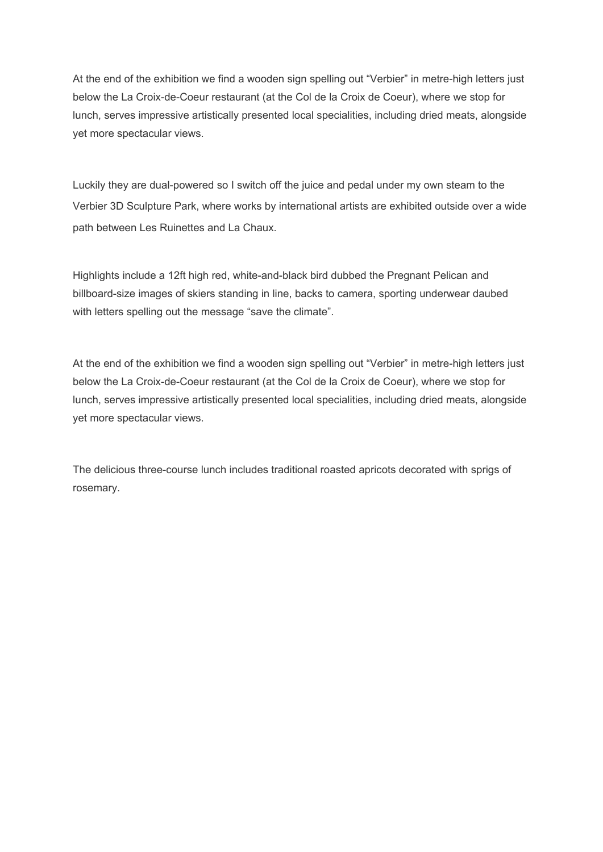At the end of the exhibition we find a wooden sign spelling out "Verbier" in metre-high letters just below the La Croix-de-Coeur restaurant (at the Col de la Croix de Coeur), where we stop for lunch, serves impressive artistically presented local specialities, including dried meats, alongside yet more spectacular views.

Luckily they are dual-powered so I switch off the juice and pedal under my own steam to the Verbier 3D Sculpture Park, where works by international artists are exhibited outside over a wide path between Les Ruinettes and La Chaux.

Highlights include a 12ft high red, white-and-black bird dubbed the Pregnant Pelican and billboard-size images of skiers standing in line, backs to camera, sporting underwear daubed with letters spelling out the message "save the climate".

At the end of the exhibition we find a wooden sign spelling out "Verbier" in metre-high letters just below the La Croix-de-Coeur restaurant (at the Col de la Croix de Coeur), where we stop for lunch, serves impressive artistically presented local specialities, including dried meats, alongside yet more spectacular views.

The delicious three-course lunch includes traditional roasted apricots decorated with sprigs of rosemary.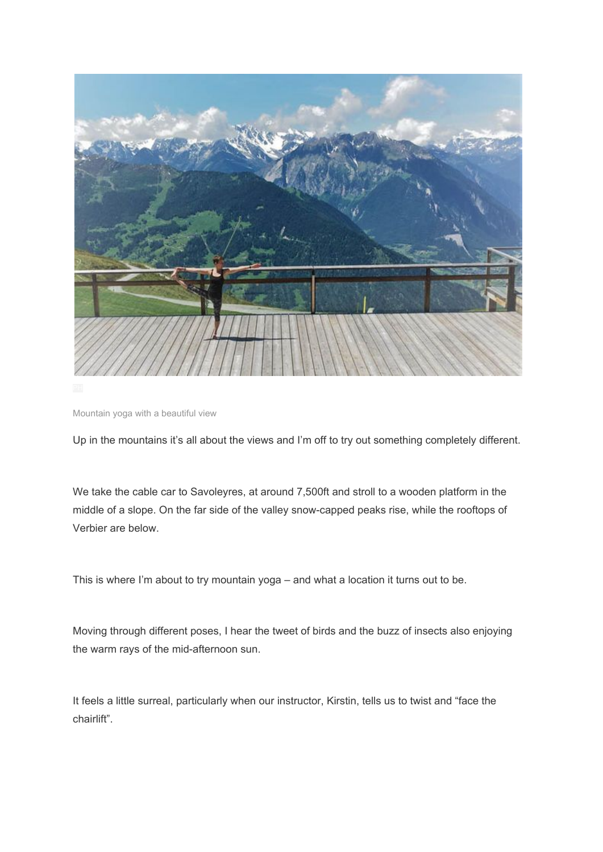

Mountain yoga with a beautiful view

Up in the mountains it's all about the views and I'm off to try out something completely different.

We take the cable car to Savoleyres, at around 7,500ft and stroll to a wooden platform in the middle of a slope. On the far side of the valley snow-capped peaks rise, while the rooftops of Verbier are below.

This is where I'm about to try mountain yoga – and what a location it turns out to be.

Moving through different poses, I hear the tweet of birds and the buzz of insects also enjoying the warm rays of the mid-afternoon sun.

It feels a little surreal, particularly when our instructor, Kirstin, tells us to twist and "face the chairlift".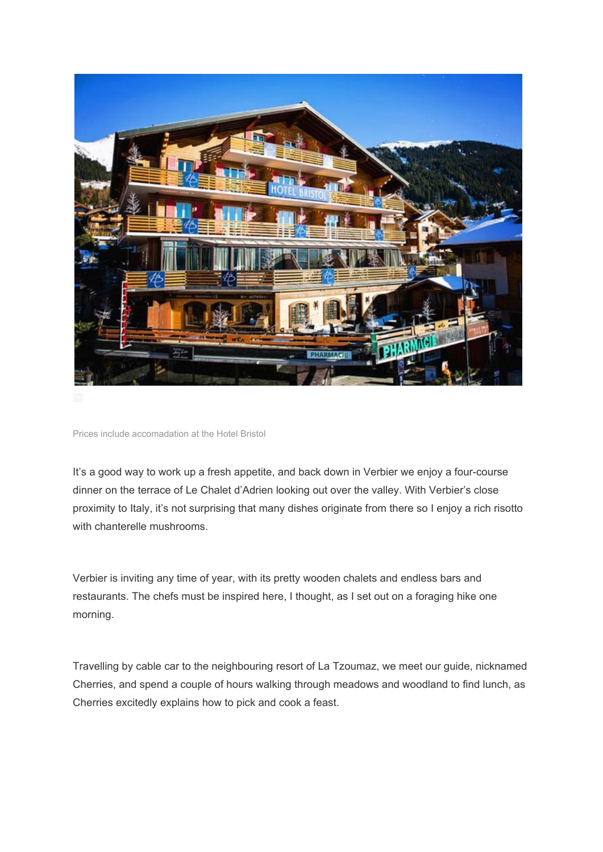

It's a good way to work up a fresh appetite, and back down in Verbier we enjoy a four-course dinner on the terrace of Le Chalet d'Adrien looking out over the valley. With Verbier's close proximity to Italy, it's not surprising that many dishes originate from there so I enjoy a rich risotto with chanterelle mushrooms.

Verbier is inviting any time of year, with its pretty wooden chalets and endless bars and restaurants. The chefs must be inspired here, I thought, as I set out on a foraging hike one morning.

Travelling by cable car to the neighbouring resort of La Tzoumaz, we meet our guide, nicknamed Cherries, and spend a couple of hours walking through meadows and woodland to find lunch, as Cherries excitedly explains how to pick and cook a feast.

Prices include accomadation at the Hotel Bristol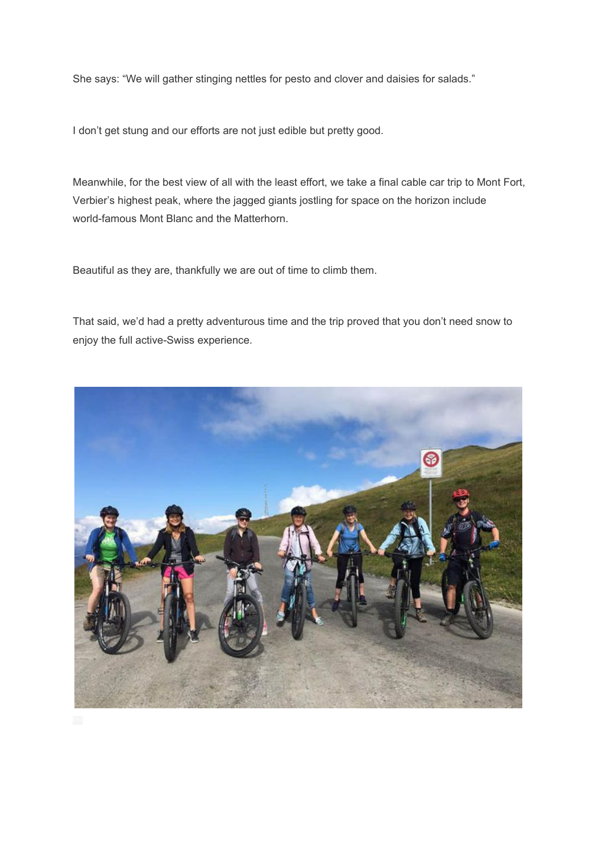She says: "We will gather stinging nettles for pesto and clover and daisies for salads."

I don't get stung and our efforts are not just edible but pretty good.

Meanwhile, for the best view of all with the least effort, we take a final cable car trip to Mont Fort, Verbier's highest peak, where the jagged giants jostling for space on the horizon include world-famous Mont Blanc and the Matterhorn.

Beautiful as they are, thankfully we are out of time to climb them.

That said, we'd had a pretty adventurous time and the trip proved that you don't need snow to enjoy the full active-Swiss experience.